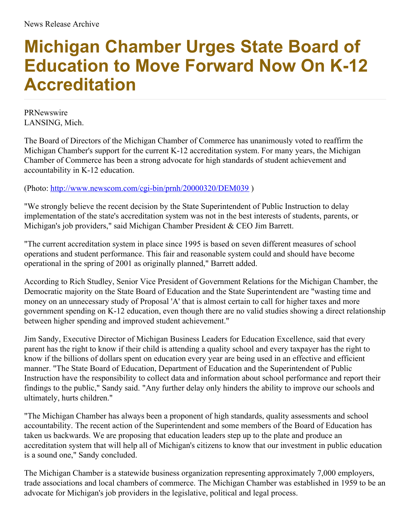## **Michigan Chamber Urges State Board of Education to Move Forward Now On K-12 Accreditation**

PRNewswire LANSING, Mich.

The Board of Directors of the Michigan Chamber of Commerce has unanimously voted to reaffirm the Michigan Chamber's support for the current K-12 accreditation system. For many years, the Michigan Chamber of Commerce has been a strong advocate for high standards of student achievement and accountability in K-12 education.

## (Photo: <http://www.newscom.com/cgi-bin/prnh/20000320/DEM039> )

"We strongly believe the recent decision by the State Superintendent of Public Instruction to delay implementation of the state's accreditation system was not in the best interests of students, parents, or Michigan's job providers," said Michigan Chamber President & CEO Jim Barrett.

"The current accreditation system in place since 1995 is based on seven different measures of school operations and student performance. This fair and reasonable system could and should have become operational in the spring of 2001 as originally planned," Barrett added.

According to Rich Studley, Senior Vice President of Government Relations for the Michigan Chamber, the Democratic majority on the State Board of Education and the State Superintendent are "wasting time and money on an unnecessary study of Proposal 'A' that is almost certain to call for higher taxes and more government spending on K-12 education, even though there are no valid studies showing a direct relationship between higher spending and improved student achievement."

Jim Sandy, Executive Director of Michigan Business Leaders for Education Excellence, said that every parent has the right to know if their child is attending a quality school and every taxpayer has the right to know if the billions of dollars spent on education every year are being used in an effective and efficient manner. "The State Board of Education, Department of Education and the Superintendent of Public Instruction have the responsibility to collect data and information about school performance and report their findings to the public," Sandy said. "Any further delay only hinders the ability to improve our schools and ultimately, hurts children."

"The Michigan Chamber has always been a proponent of high standards, quality assessments and school accountability. The recent action of the Superintendent and some members of the Board of Education has taken us backwards. We are proposing that education leaders step up to the plate and produce an accreditation system that will help all of Michigan's citizens to know that our investment in public education is a sound one," Sandy concluded.

The Michigan Chamber is a statewide business organization representing approximately 7,000 employers, trade associations and local chambers of commerce. The Michigan Chamber was established in 1959 to be an advocate for Michigan's job providers in the legislative, political and legal process.